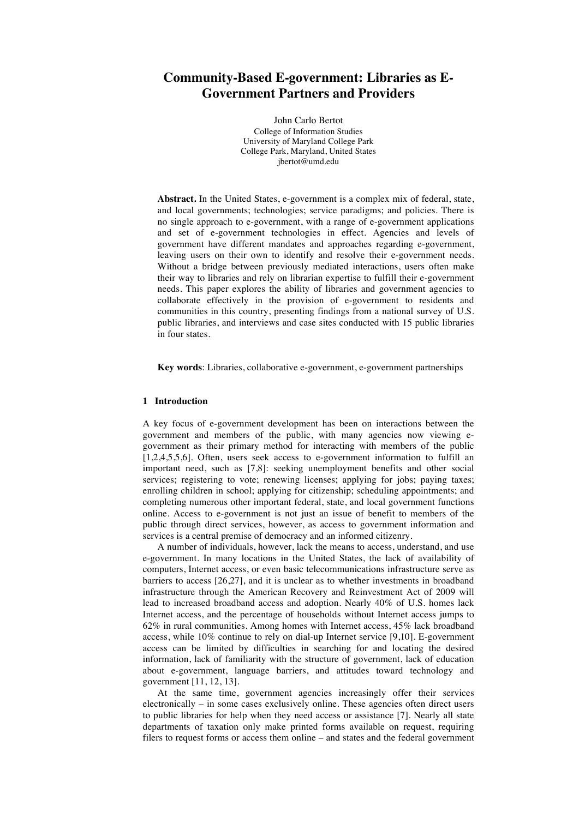# **Community-Based E-government: Libraries as E-Government Partners and Providers**

John Carlo Bertot College of Information Studies University of Maryland College Park College Park, Maryland, United States jbertot@umd.edu

**Abstract.** In the United States, e-government is a complex mix of federal, state, and local governments; technologies; service paradigms; and policies. There is no single approach to e-government, with a range of e-government applications and set of e-government technologies in effect. Agencies and levels of government have different mandates and approaches regarding e-government, leaving users on their own to identify and resolve their e-government needs. Without a bridge between previously mediated interactions, users often make their way to libraries and rely on librarian expertise to fulfill their e-government needs. This paper explores the ability of libraries and government agencies to collaborate effectively in the provision of e-government to residents and communities in this country, presenting findings from a national survey of U.S. public libraries, and interviews and case sites conducted with 15 public libraries in four states.

**Key words**: Libraries, collaborative e-government, e-government partnerships

## **1 Introduction**

A key focus of e-government development has been on interactions between the government and members of the public, with many agencies now viewing egovernment as their primary method for interacting with members of the public [1,2,4,5,5,6]. Often, users seek access to e-government information to fulfill an important need, such as [7,8]: seeking unemployment benefits and other social services; registering to vote; renewing licenses; applying for jobs; paying taxes; enrolling children in school; applying for citizenship; scheduling appointments; and completing numerous other important federal, state, and local government functions online. Access to e-government is not just an issue of benefit to members of the public through direct services, however, as access to government information and services is a central premise of democracy and an informed citizenry.

A number of individuals, however, lack the means to access, understand, and use e-government. In many locations in the United States, the lack of availability of computers, Internet access, or even basic telecommunications infrastructure serve as barriers to access [26,27], and it is unclear as to whether investments in broadband infrastructure through the American Recovery and Reinvestment Act of 2009 will lead to increased broadband access and adoption. Nearly 40% of U.S. homes lack Internet access, and the percentage of households without Internet access jumps to 62% in rural communities. Among homes with Internet access, 45% lack broadband access, while 10% continue to rely on dial-up Internet service [9,10]. E-government access can be limited by difficulties in searching for and locating the desired information, lack of familiarity with the structure of government, lack of education about e-government, language barriers, and attitudes toward technology and government [11, 12, 13].

At the same time, government agencies increasingly offer their services electronically – in some cases exclusively online. These agencies often direct users to public libraries for help when they need access or assistance [7]. Nearly all state departments of taxation only make printed forms available on request, requiring filers to request forms or access them online – and states and the federal government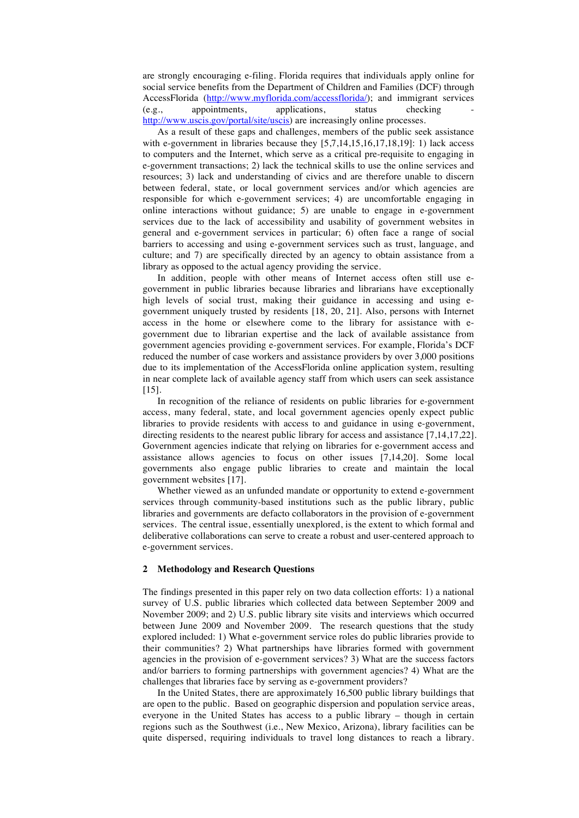are strongly encouraging e-filing. Florida requires that individuals apply online for social service benefits from the Department of Children and Families (DCF) through AccessFlorida (http://www.myflorida.com/accessflorida/); and immigrant services (e.g., appointments, applications, status checking http://www.uscis.gov/portal/site/uscis) are increasingly online processes.

As a result of these gaps and challenges, members of the public seek assistance with e-government in libraries because they  $[5,7,14,15,16,17,18,19]$ : 1) lack access to computers and the Internet, which serve as a critical pre-requisite to engaging in e-government transactions; 2) lack the technical skills to use the online services and resources; 3) lack and understanding of civics and are therefore unable to discern between federal, state, or local government services and/or which agencies are responsible for which e-government services; 4) are uncomfortable engaging in online interactions without guidance; 5) are unable to engage in e-government services due to the lack of accessibility and usability of government websites in general and e-government services in particular; 6) often face a range of social barriers to accessing and using e-government services such as trust, language, and culture; and 7) are specifically directed by an agency to obtain assistance from a library as opposed to the actual agency providing the service.

In addition, people with other means of Internet access often still use egovernment in public libraries because libraries and librarians have exceptionally high levels of social trust, making their guidance in accessing and using egovernment uniquely trusted by residents [18, 20, 21]. Also, persons with Internet access in the home or elsewhere come to the library for assistance with egovernment due to librarian expertise and the lack of available assistance from government agencies providing e-government services. For example, Florida's DCF reduced the number of case workers and assistance providers by over 3,000 positions due to its implementation of the AccessFlorida online application system, resulting in near complete lack of available agency staff from which users can seek assistance [15].

In recognition of the reliance of residents on public libraries for e-government access, many federal, state, and local government agencies openly expect public libraries to provide residents with access to and guidance in using e-government, directing residents to the nearest public library for access and assistance [7,14,17,22]. Government agencies indicate that relying on libraries for e-government access and assistance allows agencies to focus on other issues [7,14,20]. Some local governments also engage public libraries to create and maintain the local government websites [17].

Whether viewed as an unfunded mandate or opportunity to extend e-government services through community-based institutions such as the public library, public libraries and governments are defacto collaborators in the provision of e-government services. The central issue, essentially unexplored, is the extent to which formal and deliberative collaborations can serve to create a robust and user-centered approach to e-government services.

#### **2 Methodology and Research Questions**

The findings presented in this paper rely on two data collection efforts: 1) a national survey of U.S. public libraries which collected data between September 2009 and November 2009; and 2) U.S. public library site visits and interviews which occurred between June 2009 and November 2009. The research questions that the study explored included: 1) What e-government service roles do public libraries provide to their communities? 2) What partnerships have libraries formed with government agencies in the provision of e-government services? 3) What are the success factors and/or barriers to forming partnerships with government agencies? 4) What are the challenges that libraries face by serving as e-government providers?

In the United States, there are approximately 16,500 public library buildings that are open to the public. Based on geographic dispersion and population service areas, everyone in the United States has access to a public library – though in certain regions such as the Southwest (i.e., New Mexico, Arizona), library facilities can be quite dispersed, requiring individuals to travel long distances to reach a library.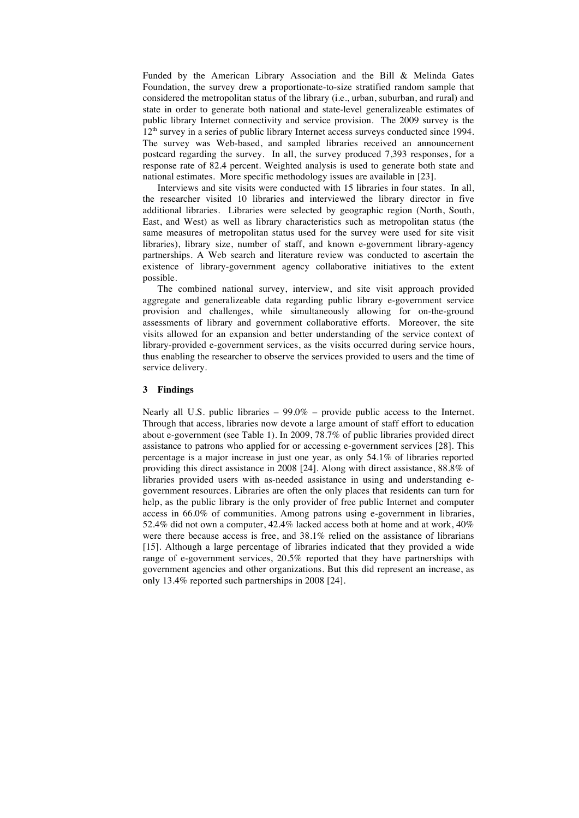Funded by the American Library Association and the Bill & Melinda Gates Foundation, the survey drew a proportionate-to-size stratified random sample that considered the metropolitan status of the library (i.e., urban, suburban, and rural) and state in order to generate both national and state-level generalizeable estimates of public library Internet connectivity and service provision. The 2009 survey is the 12<sup>th</sup> survey in a series of public library Internet access surveys conducted since 1994. The survey was Web-based, and sampled libraries received an announcement postcard regarding the survey. In all, the survey produced 7,393 responses, for a response rate of 82.4 percent. Weighted analysis is used to generate both state and national estimates. More specific methodology issues are available in [23].

Interviews and site visits were conducted with 15 libraries in four states. In all, the researcher visited 10 libraries and interviewed the library director in five additional libraries. Libraries were selected by geographic region (North, South, East, and West) as well as library characteristics such as metropolitan status (the same measures of metropolitan status used for the survey were used for site visit libraries), library size, number of staff, and known e-government library-agency partnerships. A Web search and literature review was conducted to ascertain the existence of library-government agency collaborative initiatives to the extent possible.

The combined national survey, interview, and site visit approach provided aggregate and generalizeable data regarding public library e-government service provision and challenges, while simultaneously allowing for on-the-ground assessments of library and government collaborative efforts. Moreover, the site visits allowed for an expansion and better understanding of the service context of library-provided e-government services, as the visits occurred during service hours, thus enabling the researcher to observe the services provided to users and the time of service delivery.

## **3 Findings**

Nearly all U.S. public libraries – 99.0% – provide public access to the Internet. Through that access, libraries now devote a large amount of staff effort to education about e-government (see Table 1). In 2009, 78.7% of public libraries provided direct assistance to patrons who applied for or accessing e-government services [28]. This percentage is a major increase in just one year, as only 54.1% of libraries reported providing this direct assistance in 2008 [24]. Along with direct assistance, 88.8% of libraries provided users with as-needed assistance in using and understanding egovernment resources. Libraries are often the only places that residents can turn for help, as the public library is the only provider of free public Internet and computer access in 66.0% of communities. Among patrons using e-government in libraries, 52.4% did not own a computer, 42.4% lacked access both at home and at work, 40% were there because access is free, and 38.1% relied on the assistance of librarians [15]. Although a large percentage of libraries indicated that they provided a wide range of e-government services, 20.5% reported that they have partnerships with government agencies and other organizations. But this did represent an increase, as only 13.4% reported such partnerships in 2008 [24].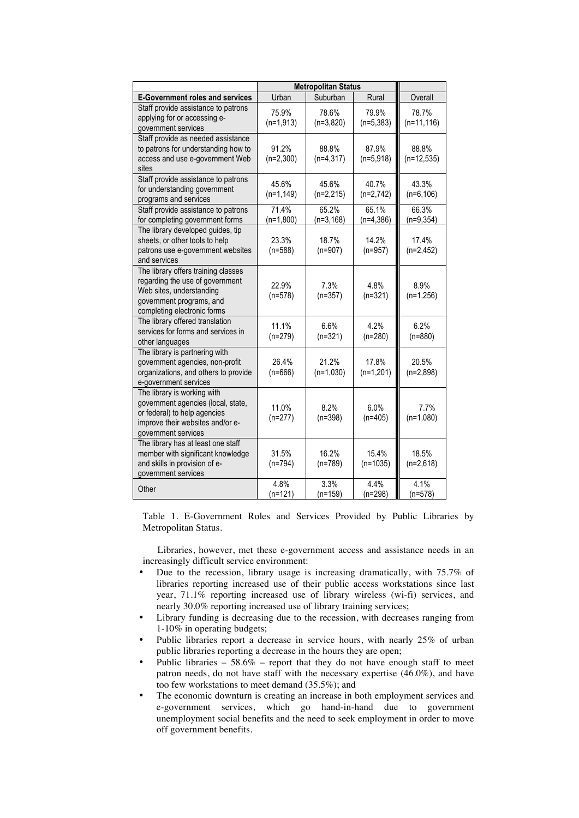|                                                                                                                                                               | <b>Metropolitan Status</b> |                       |                       |                        |
|---------------------------------------------------------------------------------------------------------------------------------------------------------------|----------------------------|-----------------------|-----------------------|------------------------|
| <b>E-Government roles and services</b>                                                                                                                        | Urban                      | Suburban              | Rural                 | Overall                |
| Staff provide assistance to patrons<br>applying for or accessing e-<br>government services                                                                    | 75.9%<br>$(n=1,913)$       | 78.6%<br>$(n=3,820)$  | 79.9%<br>$(n=5, 383)$ | 78.7%<br>$(n=11, 116)$ |
| Staff provide as needed assistance<br>to patrons for understanding how to<br>access and use e-government Web<br>sites                                         | 91.2%<br>$(n=2,300)$       | 88.8%<br>$(n=4, 317)$ | 87.9%<br>$(n=5,918)$  | 88.8%<br>$(n=12,535)$  |
| Staff provide assistance to patrons<br>for understanding government<br>programs and services                                                                  | 45.6%<br>$(n=1, 149)$      | 45.6%<br>$(n=2,215)$  | 40.7%<br>$(n=2,742)$  | 43.3%<br>$(n=6, 106)$  |
| Staff provide assistance to patrons<br>for completing government forms                                                                                        | 71.4%<br>$(n=1,800)$       | 65.2%<br>$(n=3, 168)$ | 65.1%<br>$(n=4,386)$  | 66.3%<br>$(n=9, 354)$  |
| The library developed guides, tip<br>sheets, or other tools to help<br>patrons use e-government websites<br>and services                                      | 23.3%<br>$(n=588)$         | 18.7%<br>$(n=907)$    | 14.2%<br>$(n=957)$    | 17.4%<br>$(n=2, 452)$  |
| The library offers training classes<br>regarding the use of government<br>Web sites, understanding<br>government programs, and<br>completing electronic forms | 22.9%<br>$(n=578)$         | 7.3%<br>$(n=357)$     | 4.8%<br>$(n=321)$     | 8.9%<br>$(n=1,256)$    |
| The library offered translation<br>services for forms and services in<br>other languages                                                                      | 11.1%<br>$(n=279)$         | 6.6%<br>$(n=321)$     | 4.2%<br>$(n=280)$     | 6.2%<br>$(n=880)$      |
| The library is partnering with<br>government agencies, non-profit<br>organizations, and others to provide<br>e-government services                            | 26.4%<br>$(n=666)$         | 21.2%<br>$(n=1,030)$  | 17.8%<br>$(n=1,201)$  | 20.5%<br>$(n=2,898)$   |
| The library is working with<br>government agencies (local, state,<br>or federal) to help agencies<br>improve their websites and/or e-<br>government services  | 11.0%<br>$(n=277)$         | 8.2%<br>$(n=398)$     | 6.0%<br>$(n=405)$     | 7.7%<br>$(n=1,080)$    |
| The library has at least one staff<br>member with significant knowledge<br>and skills in provision of e-<br>government services                               | 31.5%<br>$(n=794)$         | 16.2%<br>$(n=789)$    | 15.4%<br>$(n=1035)$   | 18.5%<br>$(n=2,618)$   |
| Other                                                                                                                                                         | 4.8%<br>$(n=121)$          | 3.3%<br>$(n=159)$     | 4.4%<br>$(n=298)$     | 4.1%<br>$(n=578)$      |

Table 1. E-Government Roles and Services Provided by Public Libraries by Metropolitan Status.

Libraries, however, met these e-government access and assistance needs in an increasingly difficult service environment:

- Due to the recession, library usage is increasing dramatically, with 75.7% of libraries reporting increased use of their public access workstations since last year, 71.1% reporting increased use of library wireless (wi-fi) services, and nearly 30.0% reporting increased use of library training services;
- Library funding is decreasing due to the recession, with decreases ranging from 1-10% in operating budgets;
- Public libraries report a decrease in service hours, with nearly 25% of urban public libraries reporting a decrease in the hours they are open;
- Public libraries  $58.6\%$  report that they do not have enough staff to meet patron needs, do not have staff with the necessary expertise (46.0%), and have too few workstations to meet demand (35.5%); and
- The economic downturn is creating an increase in both employment services and e-government services, which go hand-in-hand due to government unemployment social benefits and the need to seek employment in order to move off government benefits.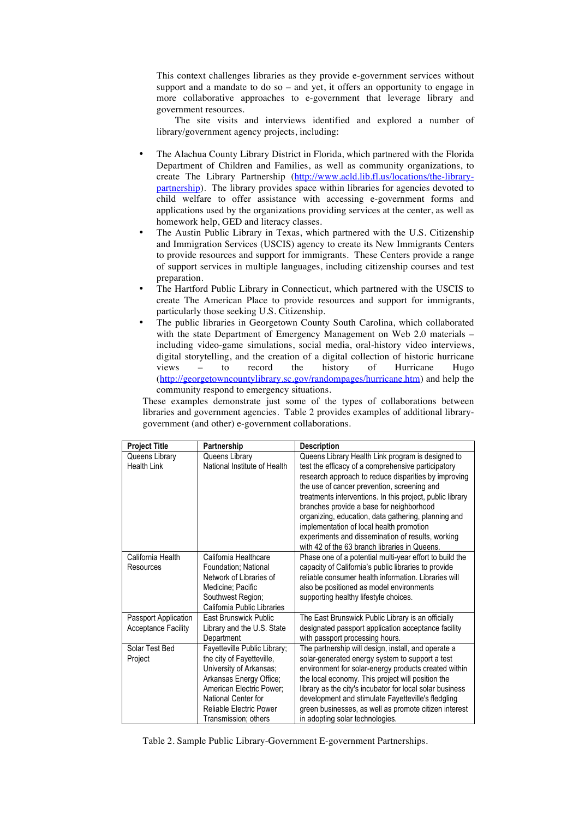This context challenges libraries as they provide e-government services without support and a mandate to do so  $-$  and yet, it offers an opportunity to engage in more collaborative approaches to e-government that leverage library and government resources.

The site visits and interviews identified and explored a number of library/government agency projects, including:

- The Alachua County Library District in Florida, which partnered with the Florida Department of Children and Families, as well as community organizations, to create The Library Partnership (http://www.acld.lib.fl.us/locations/the-librarypartnership). The library provides space within libraries for agencies devoted to child welfare to offer assistance with accessing e-government forms and applications used by the organizations providing services at the center, as well as homework help, GED and literacy classes.
- The Austin Public Library in Texas, which partnered with the U.S. Citizenship and Immigration Services (USCIS) agency to create its New Immigrants Centers to provide resources and support for immigrants. These Centers provide a range of support services in multiple languages, including citizenship courses and test preparation.
- The Hartford Public Library in Connecticut, which partnered with the USCIS to create The American Place to provide resources and support for immigrants, particularly those seeking U.S. Citizenship.
- The public libraries in Georgetown County South Carolina, which collaborated with the state Department of Emergency Management on Web 2.0 materials – including video-game simulations, social media, oral-history video interviews, digital storytelling, and the creation of a digital collection of historic hurricane views – to record the history of Hurricane Hugo (http://georgetowncountylibrary.sc.gov/randompages/hurricane.htm) and help the community respond to emergency situations.

These examples demonstrate just some of the types of collaborations between libraries and government agencies. Table 2 provides examples of additional librarygovernment (and other) e-government collaborations.

| <b>Project Title</b>                               | Partnership                                                                                                                                                                                                                  | <b>Description</b>                                                                                                                                                                                                                                                                                                                                                                                                                                                              |
|----------------------------------------------------|------------------------------------------------------------------------------------------------------------------------------------------------------------------------------------------------------------------------------|---------------------------------------------------------------------------------------------------------------------------------------------------------------------------------------------------------------------------------------------------------------------------------------------------------------------------------------------------------------------------------------------------------------------------------------------------------------------------------|
| Queens Library<br><b>Health Link</b>               | Queens Library<br>National Institute of Health                                                                                                                                                                               | Queens Library Health Link program is designed to<br>test the efficacy of a comprehensive participatory<br>research approach to reduce disparities by improving<br>the use of cancer prevention, screening and<br>treatments interventions. In this project, public library<br>branches provide a base for neighborhood<br>organizing, education, data gathering, planning and<br>implementation of local health promotion<br>experiments and dissemination of results, working |
| California Health<br>Resources                     | California Healthcare<br>Foundation: National<br>Network of Libraries of<br>Medicine; Pacific<br>Southwest Region;<br>California Public Libraries                                                                            | with 42 of the 63 branch libraries in Queens.<br>Phase one of a potential multi-year effort to build the<br>capacity of California's public libraries to provide<br>reliable consumer health information. Libraries will<br>also be positioned as model environments<br>supporting healthy lifestyle choices.                                                                                                                                                                   |
| Passport Application<br><b>Acceptance Facility</b> | East Brunswick Public<br>Library and the U.S. State<br>Department                                                                                                                                                            | The East Brunswick Public Library is an officially<br>designated passport application acceptance facility<br>with passport processing hours.                                                                                                                                                                                                                                                                                                                                    |
| Solar Test Bed<br>Project                          | Fayetteville Public Library;<br>the city of Fayetteville,<br>University of Arkansas;<br>Arkansas Energy Office;<br>American Electric Power;<br>National Center for<br><b>Reliable Electric Power</b><br>Transmission; others | The partnership will design, install, and operate a<br>solar-generated energy system to support a test<br>environment for solar-energy products created within<br>the local economy. This project will position the<br>library as the city's incubator for local solar business<br>development and stimulate Fayetteville's fledgling<br>green businesses, as well as promote citizen interest<br>in adopting solar technologies.                                               |

Table 2. Sample Public Library-Government E-government Partnerships.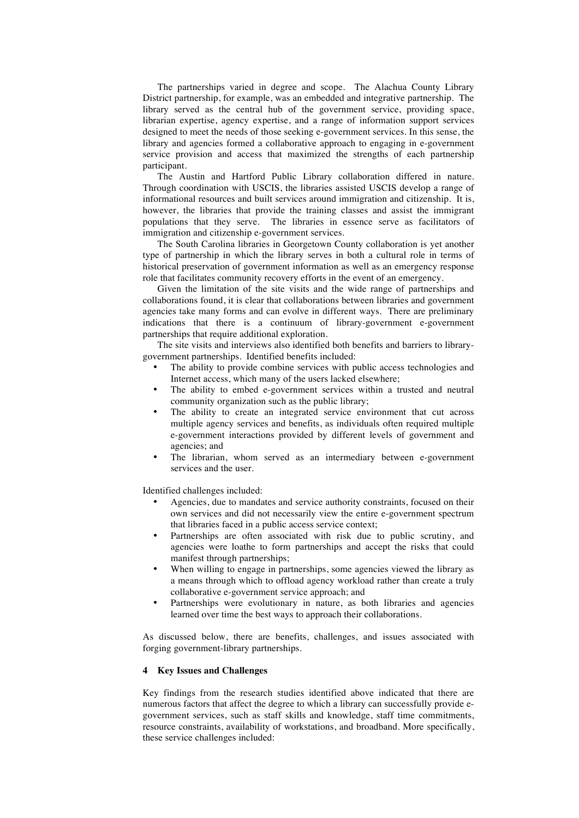The partnerships varied in degree and scope. The Alachua County Library District partnership, for example, was an embedded and integrative partnership. The library served as the central hub of the government service, providing space, librarian expertise, agency expertise, and a range of information support services designed to meet the needs of those seeking e-government services. In this sense, the library and agencies formed a collaborative approach to engaging in e-government service provision and access that maximized the strengths of each partnership participant.

The Austin and Hartford Public Library collaboration differed in nature. Through coordination with USCIS, the libraries assisted USCIS develop a range of informational resources and built services around immigration and citizenship. It is, however, the libraries that provide the training classes and assist the immigrant populations that they serve. The libraries in essence serve as facilitators of immigration and citizenship e-government services.

The South Carolina libraries in Georgetown County collaboration is yet another type of partnership in which the library serves in both a cultural role in terms of historical preservation of government information as well as an emergency response role that facilitates community recovery efforts in the event of an emergency.

Given the limitation of the site visits and the wide range of partnerships and collaborations found, it is clear that collaborations between libraries and government agencies take many forms and can evolve in different ways. There are preliminary indications that there is a continuum of library-government e-government partnerships that require additional exploration.

The site visits and interviews also identified both benefits and barriers to librarygovernment partnerships. Identified benefits included:

- The ability to provide combine services with public access technologies and Internet access, which many of the users lacked elsewhere;
- The ability to embed e-government services within a trusted and neutral community organization such as the public library;
- The ability to create an integrated service environment that cut across multiple agency services and benefits, as individuals often required multiple e-government interactions provided by different levels of government and agencies; and
- The librarian, whom served as an intermediary between e-government services and the user.

Identified challenges included:

- Agencies, due to mandates and service authority constraints, focused on their own services and did not necessarily view the entire e-government spectrum that libraries faced in a public access service context;
- Partnerships are often associated with risk due to public scrutiny, and agencies were loathe to form partnerships and accept the risks that could manifest through partnerships;
- When willing to engage in partnerships, some agencies viewed the library as a means through which to offload agency workload rather than create a truly collaborative e-government service approach; and
- Partnerships were evolutionary in nature, as both libraries and agencies learned over time the best ways to approach their collaborations.

As discussed below, there are benefits, challenges, and issues associated with forging government-library partnerships.

#### **4 Key Issues and Challenges**

Key findings from the research studies identified above indicated that there are numerous factors that affect the degree to which a library can successfully provide egovernment services, such as staff skills and knowledge, staff time commitments, resource constraints, availability of workstations, and broadband. More specifically, these service challenges included: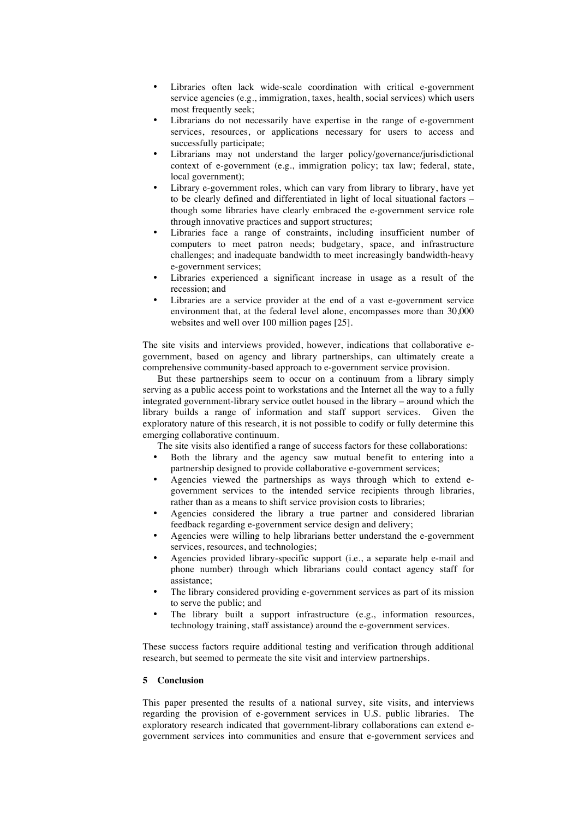- Libraries often lack wide-scale coordination with critical e-government service agencies (e.g., immigration, taxes, health, social services) which users most frequently seek;
- Librarians do not necessarily have expertise in the range of e-government services, resources, or applications necessary for users to access and successfully participate;
- Librarians may not understand the larger policy/governance/jurisdictional context of e-government (e.g., immigration policy; tax law; federal, state, local government);
- Library e-government roles, which can vary from library to library, have yet to be clearly defined and differentiated in light of local situational factors – though some libraries have clearly embraced the e-government service role through innovative practices and support structures;
- Libraries face a range of constraints, including insufficient number of computers to meet patron needs; budgetary, space, and infrastructure challenges; and inadequate bandwidth to meet increasingly bandwidth-heavy e-government services;
- Libraries experienced a significant increase in usage as a result of the recession; and
- Libraries are a service provider at the end of a vast e-government service environment that, at the federal level alone, encompasses more than 30,000 websites and well over 100 million pages [25].

The site visits and interviews provided, however, indications that collaborative egovernment, based on agency and library partnerships, can ultimately create a comprehensive community-based approach to e-government service provision.

But these partnerships seem to occur on a continuum from a library simply serving as a public access point to workstations and the Internet all the way to a fully integrated government-library service outlet housed in the library – around which the library builds a range of information and staff support services. Given the exploratory nature of this research, it is not possible to codify or fully determine this emerging collaborative continuum.

The site visits also identified a range of success factors for these collaborations:

- Both the library and the agency saw mutual benefit to entering into a partnership designed to provide collaborative e-government services;
- Agencies viewed the partnerships as ways through which to extend egovernment services to the intended service recipients through libraries, rather than as a means to shift service provision costs to libraries;
- Agencies considered the library a true partner and considered librarian feedback regarding e-government service design and delivery;
- Agencies were willing to help librarians better understand the e-government services, resources, and technologies;
- Agencies provided library-specific support (i.e., a separate help e-mail and phone number) through which librarians could contact agency staff for assistance;
- The library considered providing e-government services as part of its mission to serve the public; and
- The library built a support infrastructure (e.g., information resources, technology training, staff assistance) around the e-government services.

These success factors require additional testing and verification through additional research, but seemed to permeate the site visit and interview partnerships.

## **5 Conclusion**

This paper presented the results of a national survey, site visits, and interviews regarding the provision of e-government services in U.S. public libraries. The exploratory research indicated that government-library collaborations can extend egovernment services into communities and ensure that e-government services and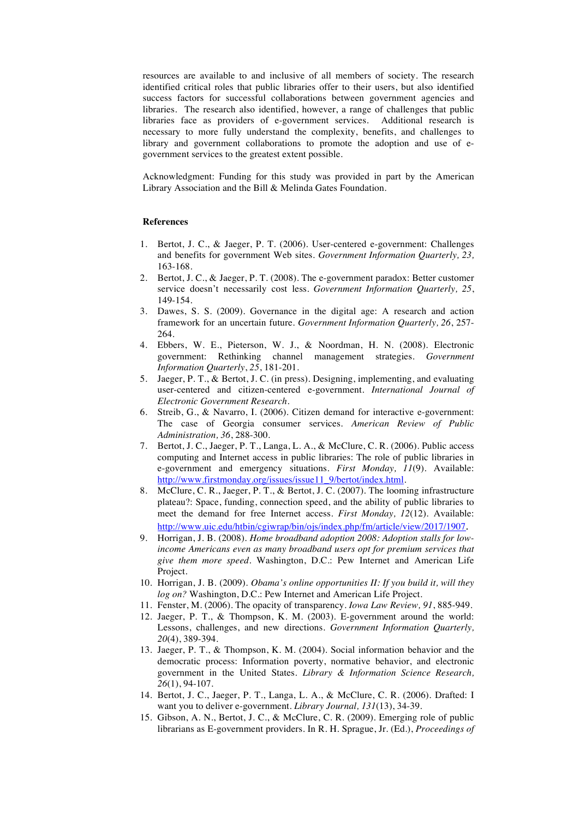resources are available to and inclusive of all members of society. The research identified critical roles that public libraries offer to their users, but also identified success factors for successful collaborations between government agencies and libraries. The research also identified, however, a range of challenges that public libraries face as providers of e-government services. Additional research is necessary to more fully understand the complexity, benefits, and challenges to library and government collaborations to promote the adoption and use of egovernment services to the greatest extent possible.

Acknowledgment: Funding for this study was provided in part by the American Library Association and the Bill & Melinda Gates Foundation.

#### **References**

- 1. Bertot, J. C., & Jaeger, P. T. (2006). User-centered e-government: Challenges and benefits for government Web sites. *Government Information Quarterly, 23,*  163-168.
- 2. Bertot, J. C., & Jaeger, P. T. (2008). The e-government paradox: Better customer service doesn't necessarily cost less. *Government Information Quarterly, 25*, 149-154.
- 3. Dawes, S. S. (2009). Governance in the digital age: A research and action framework for an uncertain future. *Government Information Quarterly, 26*, 257- 264*.*
- 4. Ebbers, W. E., Pieterson, W. J., & Noordman, H. N. (2008). Electronic government: Rethinking channel management strategies. *Government Information Quarterly*, *25*, 181-201.
- 5. Jaeger, P. T., & Bertot, J. C. (in press). Designing, implementing, and evaluating user-centered and citizen-centered e-government. *International Journal of Electronic Government Research*.
- 6. Streib, G., & Navarro, I. (2006). Citizen demand for interactive e-government: The case of Georgia consumer services. *American Review of Public Administration, 36*, 288-300.
- 7. Bertot, J. C., Jaeger, P. T., Langa, L. A., & McClure, C. R. (2006). Public access computing and Internet access in public libraries: The role of public libraries in e-government and emergency situations. *First Monday, 11*(9). Available: http://www.firstmonday.org/issues/issue11\_9/bertot/index.html.
- 8. McClure, C. R., Jaeger, P. T., & Bertot, J. C. (2007). The looming infrastructure plateau?: Space, funding, connection speed, and the ability of public libraries to meet the demand for free Internet access. *First Monday, 12*(12)*.* Available: http://www.uic.edu/htbin/cgiwrap/bin/ojs/index.php/fm/article/view/2017/1907.
- 9. Horrigan, J. B. (2008). *Home broadband adoption 2008: Adoption stalls for lowincome Americans even as many broadband users opt for premium services that give them more speed*. Washington, D.C.: Pew Internet and American Life Project.
- 10. Horrigan, J. B. (2009). *Obama's online opportunities II: If you build it, will they log on?* Washington, D.C.: Pew Internet and American Life Project.
- 11. Fenster, M. (2006). The opacity of transparency. *Iowa Law Review, 91*, 885-949.
- 12. Jaeger, P. T., & Thompson, K. M. (2003). E-government around the world: Lessons, challenges, and new directions. *Government Information Quarterly, 20*(4), 389-394.
- 13. Jaeger, P. T., & Thompson, K. M. (2004). Social information behavior and the democratic process: Information poverty, normative behavior, and electronic government in the United States. *Library & Information Science Research, 26*(1), 94-107*.*
- 14. Bertot, J. C., Jaeger, P. T., Langa, L. A., & McClure, C. R. (2006). Drafted: I want you to deliver e-government. *Library Journal, 131*(13), 34-39.
- 15. Gibson, A. N., Bertot, J. C., & McClure, C. R. (2009). Emerging role of public librarians as E-government providers. In R. H. Sprague, Jr. (Ed.), *Proceedings of*